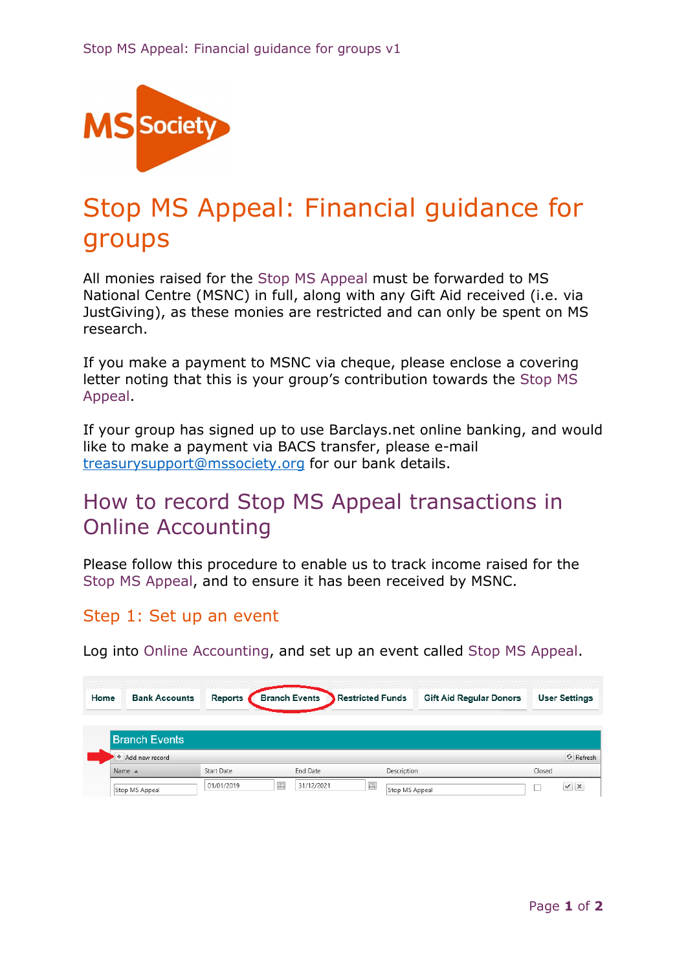

# Stop MS Appeal: Financial guidance for groups

All monies raised for the Stop MS Appeal must be forwarded to MS National Centre (MSNC) in full, along with any Gift Aid received (i.e. via JustGiving), as these monies are restricted and can only be spent on MS research.

If you make a payment to MSNC via cheque, please enclose a covering letter noting that this is your group's contribution towards the Stop MS Appeal.

If your group has signed up to use Barclays.net online banking, and would like to make a payment via BACS transfer, please e-mail treasurysupport@mssociety.org for our bank details.

# How to record Stop MS Appeal transactions in Online Accounting

Please follow this procedure to enable us to track income raised for the Stop MS Appeal, and to ensure it has been received by MSNC.

#### Step 1: Set up an event

Log into Online Accounting, and set up an event called Stop MS Appeal.

| Home | <b>Bank Accounts</b> | Reports    | <b>Branch Events</b> | <b>Restricted Funds</b> | <b>Gift Aid Regular Donors</b> | <b>User Settings</b> |
|------|----------------------|------------|----------------------|-------------------------|--------------------------------|----------------------|
|      |                      |            |                      |                         |                                |                      |
|      | <b>Branch Events</b> |            |                      |                         |                                |                      |
|      | + Add new record     |            |                      |                         |                                | <b>G</b> Refresh     |
|      | Name $\triangle$     | Start Date | End Date             | Description             |                                | Closed               |